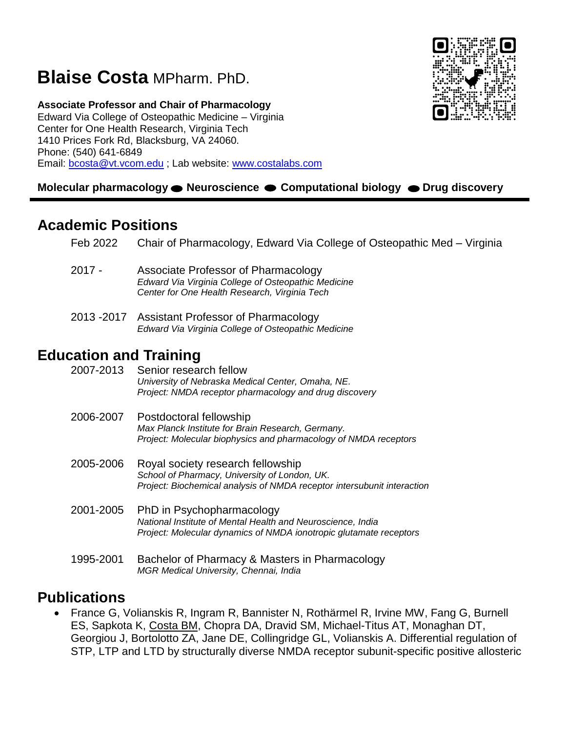# **Blaise Costa** MPharm. PhD.

**Associate Professor and Chair of Pharmacology**  Edward Via College of Osteopathic Medicine – Virginia Center for One Health Research, Virginia Tech 1410 Prices Fork Rd, Blacksburg, VA 24060. Phone: (540) 641-6849 Email: [bcosta@vt.vcom.edu](mailto:bcosta@vt.vcom.edu) ; Lab website: [www.costalabs.com](http://www.costalabs.com/)

#### **Molecular pharmacology ● Neuroscience ● Computational biology ● Drug discovery**

## **Academic Positions**

| Feb 2022 | Chair of Pharmacology, Edward Via College of Osteopathic Med - Virginia |  |  |
|----------|-------------------------------------------------------------------------|--|--|
|          |                                                                         |  |  |

- 2017 Associate Professor of Pharmacology *Edward Via Virginia College of Osteopathic Medicine Center for One Health Research, Virginia Tech*
- 2013 -2017 Assistant Professor of Pharmacology *Edward Via Virginia College of Osteopathic Medicine*

## **Education and Training**

| 2007-2013 | Senior research fellow<br>University of Nebraska Medical Center, Omaha, NE.<br>Project: NMDA receptor pharmacology and drug discovery                          |
|-----------|----------------------------------------------------------------------------------------------------------------------------------------------------------------|
| 2006-2007 | Postdoctoral fellowship<br>Max Planck Institute for Brain Research, Germany.<br>Project: Molecular biophysics and pharmacology of NMDA receptors               |
| 2005-2006 | Royal society research fellowship<br>School of Pharmacy, University of London, UK.<br>Project: Biochemical analysis of NMDA receptor intersubunit interaction  |
| 2001-2005 | PhD in Psychopharmacology<br>National Institute of Mental Health and Neuroscience, India<br>Project: Molecular dynamics of NMDA ionotropic glutamate receptors |
| 1995-2001 | Bachelor of Pharmacy & Masters in Pharmacology<br>MGR Medical University, Chennai, India                                                                       |

## **Publications**

 France G, Volianskis R, Ingram R, Bannister N, Rothärmel R, Irvine MW, Fang G, Burnell ES, Sapkota K, Costa BM, Chopra DA, Dravid SM, Michael-Titus AT, Monaghan DT, Georgiou J, Bortolotto ZA, Jane DE, Collingridge GL, Volianskis A. Differential regulation of STP, LTP and LTD by structurally diverse NMDA receptor subunit-specific positive allosteric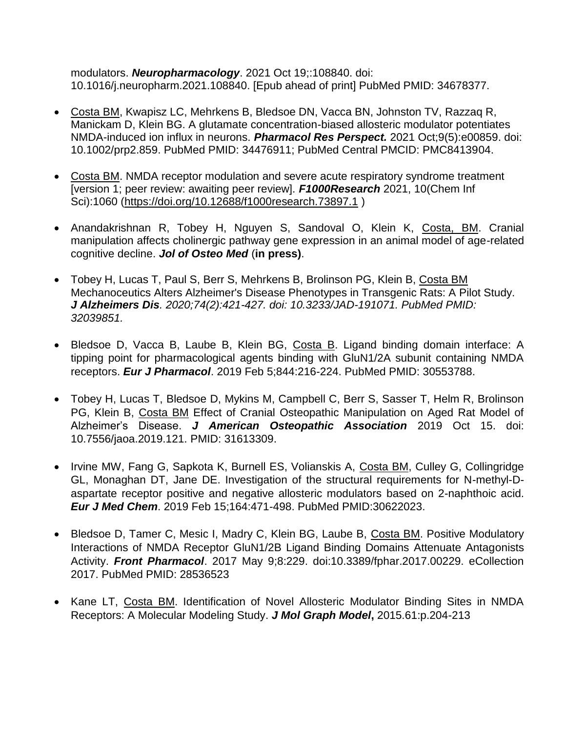modulators. *Neuropharmacology*. 2021 Oct 19;:108840. doi: 10.1016/j.neuropharm.2021.108840. [Epub ahead of print] PubMed PMID: 34678377.

- Costa BM, Kwapisz LC, Mehrkens B, Bledsoe DN, Vacca BN, Johnston TV, Razzaq R, Manickam D, Klein BG. A glutamate concentration-biased allosteric modulator potentiates NMDA-induced ion influx in neurons. *Pharmacol Res Perspect.* 2021 Oct;9(5):e00859. doi: 10.1002/prp2.859. PubMed PMID: 34476911; PubMed Central PMCID: PMC8413904.
- Costa BM. NMDA receptor modulation and severe acute respiratory syndrome treatment [version 1; peer review: awaiting peer review]. *F1000Research* 2021, 10(Chem Inf Sci):1060 [\(https://doi.org/10.12688/f1000research.73897.1](https://doi.org/10.12688/f1000research.73897.1) )
- Anandakrishnan R, Tobey H, Nguyen S, Sandoval O, Klein K, Costa, BM. Cranial manipulation affects cholinergic pathway gene expression in an animal model of age-related cognitive decline. *Jol of Osteo Med* (**in press)**.
- Tobey H, Lucas T, Paul S, Berr S, Mehrkens B, Brolinson PG, Klein B, Costa BM Mechanoceutics Alters Alzheimer's Disease Phenotypes in Transgenic Rats: A Pilot Study. *J Alzheimers Dis. 2020;74(2):421-427. doi: 10.3233/JAD-191071. PubMed PMID: 32039851.*
- Bledsoe D, Vacca B, Laube B, Klein BG, Costa B. Ligand binding domain interface: A tipping point for pharmacological agents binding with GluN1/2A subunit containing NMDA receptors. *Eur J Pharmacol*. 2019 Feb 5;844:216-224. PubMed PMID: 30553788.
- Tobey H, Lucas T, Bledsoe D, Mykins M, Campbell C, Berr S, Sasser T, Helm R, Brolinson PG, Klein B, Costa BM Effect of Cranial Osteopathic Manipulation on Aged Rat Model of Alzheimer's Disease. *J American Osteopathic Association* 2019 Oct 15. doi: 10.7556/jaoa.2019.121. PMID: 31613309.
- Irvine MW, Fang G, Sapkota K, Burnell ES, Volianskis A, Costa BM, Culley G, Collingridge GL, Monaghan DT, Jane DE. Investigation of the structural requirements for N-methyl-Daspartate receptor positive and negative allosteric modulators based on 2-naphthoic acid. *Eur J Med Chem*. 2019 Feb 15;164:471-498. PubMed PMID:30622023.
- Bledsoe D, Tamer C, Mesic I, Madry C, Klein BG, Laube B, Costa BM. Positive Modulatory Interactions of NMDA Receptor GluN1/2B Ligand Binding Domains Attenuate Antagonists Activity. *Front Pharmacol*. 2017 May 9;8:229. doi:10.3389/fphar.2017.00229. eCollection 2017. PubMed PMID: 28536523
- Kane LT, Costa BM. Identification of Novel Allosteric Modulator Binding Sites in NMDA Receptors: A Molecular Modeling Study. *J Mol Graph Model***,** 2015.61:p.204-213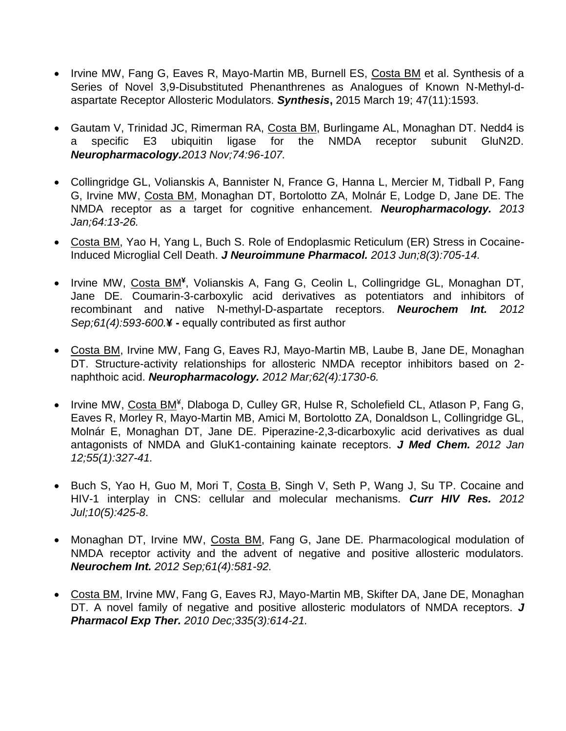- Irvine MW, Fang G, Eaves R, Mayo-Martin MB, Burnell ES, Costa BM et al. Synthesis of a Series of Novel 3,9-Disubstituted Phenanthrenes as Analogues of Known N-Methyl-daspartate Receptor Allosteric Modulators. *Synthesis***,** 2015 March 19; 47(11):1593.
- Gautam V, Trinidad JC, Rimerman RA, Costa BM, Burlingame AL, Monaghan DT. Nedd4 is a specific E3 ubiquitin ligase for the NMDA receptor subunit GluN2D. *Neuropharmacology.2013 Nov;74:96-107.*
- Collingridge GL, Volianskis A, Bannister N, France G, Hanna L, Mercier M, Tidball P, Fang G, Irvine MW, Costa BM, Monaghan DT, Bortolotto ZA, Molnár E, Lodge D, Jane DE. The NMDA receptor as a target for cognitive enhancement. *Neuropharmacology. 2013 Jan;64:13-26.*
- Costa BM, Yao H, Yang L, Buch S. Role of Endoplasmic Reticulum (ER) Stress in Cocaine-Induced Microglial Cell Death. *J Neuroimmune Pharmacol. 2013 Jun;8(3):705-14.*
- Irvine MW, Costa BM<sup>¥</sup>, Volianskis A, Fang G, Ceolin L, Collingridge GL, Monaghan DT, Jane DE. Coumarin-3-carboxylic acid derivatives as potentiators and inhibitors of recombinant and native N-methyl-D-aspartate receptors. *Neurochem Int. 2012 Sep;61(4):593-600.***¥ -** equally contributed as first author
- Costa BM, Irvine MW, Fang G, Eaves RJ, Mayo-Martin MB, Laube B, Jane DE, Monaghan DT. Structure-activity relationships for allosteric NMDA receptor inhibitors based on 2 naphthoic acid. *Neuropharmacology. 2012 Mar;62(4):1730-6.*
- Irvine MW, Costa BM<sup>¥</sup>, Dlaboga D, Culley GR, Hulse R, Scholefield CL, Atlason P, Fang G, Eaves R, Morley R, Mayo-Martin MB, Amici M, Bortolotto ZA, Donaldson L, Collingridge GL, Molnár E, Monaghan DT, Jane DE. Piperazine-2,3-dicarboxylic acid derivatives as dual antagonists of NMDA and GluK1-containing kainate receptors. *J Med Chem. 2012 Jan 12;55(1):327-41.*
- Buch S, Yao H, Guo M, Mori T, Costa B, Singh V, Seth P, Wang J, Su TP. Cocaine and HIV-1 interplay in CNS: cellular and molecular mechanisms. *Curr HIV Res. 2012 Jul;10(5):425-8*.
- Monaghan DT, Irvine MW, Costa BM, Fang G, Jane DE. Pharmacological modulation of NMDA receptor activity and the advent of negative and positive allosteric modulators. *Neurochem Int. 2012 Sep;61(4):581-92.*
- Costa BM, Irvine MW, Fang G, Eaves RJ, Mayo-Martin MB, Skifter DA, Jane DE, Monaghan DT. A novel family of negative and positive allosteric modulators of NMDA receptors. *J Pharmacol Exp Ther. 2010 Dec;335(3):614-21.*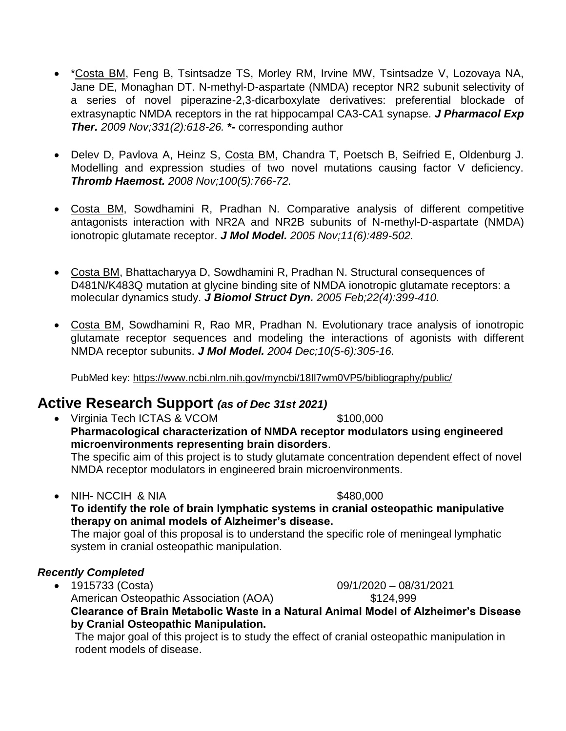- \* Costa BM, Feng B, Tsintsadze TS, Morley RM, Irvine MW, Tsintsadze V, Lozovaya NA, Jane DE, Monaghan DT. N-methyl-D-aspartate (NMDA) receptor NR2 subunit selectivity of a series of novel piperazine-2,3-dicarboxylate derivatives: preferential blockade of extrasynaptic NMDA receptors in the rat hippocampal CA3-CA1 synapse. *J Pharmacol Exp Ther. 2009 Nov;331(2):618-26.* **\*-** corresponding author
- Delev D, Pavlova A, Heinz S, Costa BM, Chandra T, Poetsch B, Seifried E, Oldenburg J. Modelling and expression studies of two novel mutations causing factor V deficiency. *Thromb Haemost. 2008 Nov;100(5):766-72.*
- Costa BM, Sowdhamini R, Pradhan N. Comparative analysis of different competitive antagonists interaction with NR2A and NR2B subunits of N-methyl-D-aspartate (NMDA) ionotropic glutamate receptor. *J Mol Model. 2005 Nov;11(6):489-502.*
- Costa BM, Bhattacharyya D, Sowdhamini R, Pradhan N. Structural consequences of D481N/K483Q mutation at glycine binding site of NMDA ionotropic glutamate receptors: a molecular dynamics study. *J Biomol Struct Dyn. 2005 Feb;22(4):399-410.*
- Costa BM, Sowdhamini R, Rao MR, Pradhan N. Evolutionary trace analysis of ionotropic glutamate receptor sequences and modeling the interactions of agonists with different NMDA receptor subunits. *J Mol Model. 2004 Dec;10(5-6):305-16.*

PubMed key:<https://www.ncbi.nlm.nih.gov/myncbi/18Il7wm0VP5/bibliography/public/>

### **Active Research Support** *(as of Dec 31st 2021)*

• Virginia Tech ICTAS & VCOM \$100,000 **Pharmacological characterization of NMDA receptor modulators using engineered microenvironments representing brain disorders**. The specific aim of this project is to study glutamate concentration dependent effect of novel NMDA receptor modulators in engineered brain microenvironments.

NIH- NCCIH & NIA \$480,000

**To identify the role of brain lymphatic systems in cranial osteopathic manipulative therapy on animal models of Alzheimer's disease.**

The major goal of this proposal is to understand the specific role of meningeal lymphatic system in cranial osteopathic manipulation.

#### *Recently Completed*

 1915733 (Costa) 09/1/2020 – 08/31/2021 American Osteopathic Association (AOA)  $$124,999$ **Clearance of Brain Metabolic Waste in a Natural Animal Model of Alzheimer's Disease by Cranial Osteopathic Manipulation.**

The major goal of this project is to study the effect of cranial osteopathic manipulation in rodent models of disease.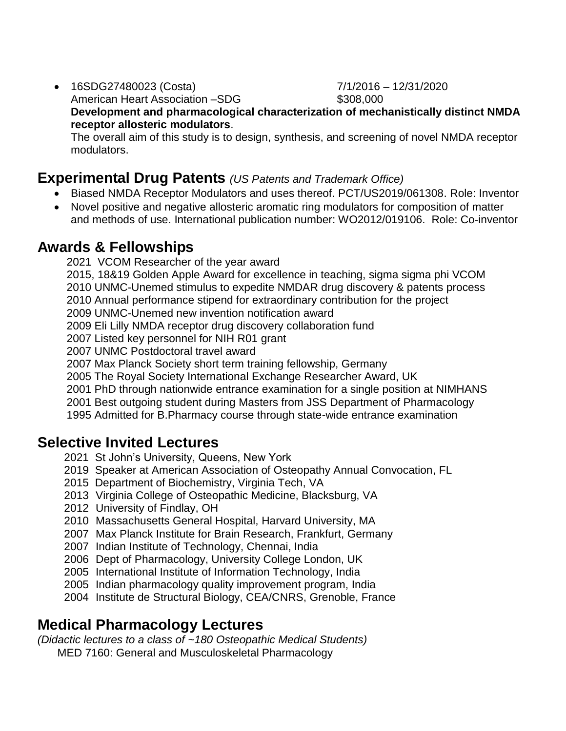16SDG27480023 (Costa) 7/1/2016 – 12/31/2020

American Heart Association –SDG  $$308,000$ 

**Development and pharmacological characterization of mechanistically distinct NMDA receptor allosteric modulators**.

The overall aim of this study is to design, synthesis, and screening of novel NMDA receptor modulators.

### **Experimental Drug Patents** *(US Patents and Trademark Office)*

- Biased NMDA Receptor Modulators and uses thereof. PCT/US2019/061308. Role: Inventor
- Novel positive and negative allosteric aromatic ring modulators for composition of matter and methods of use. International publication number: WO2012/019106. Role: Co-inventor

## **Awards & Fellowships**

2021 VCOM Researcher of the year award

2015, 18&19 Golden Apple Award for excellence in teaching, sigma sigma phi VCOM

2010 UNMC-Unemed stimulus to expedite NMDAR drug discovery & patents process

2010 Annual performance stipend for extraordinary contribution for the project

2009 UNMC-Unemed new invention notification award

2009 Eli Lilly NMDA receptor drug discovery collaboration fund

2007 Listed key personnel for NIH R01 grant

2007 UNMC Postdoctoral travel award

2007 Max Planck Society short term training fellowship, Germany

2005 The Royal Society International Exchange Researcher Award, UK

2001 PhD through nationwide entrance examination for a single position at NIMHANS

2001 Best outgoing student during Masters from JSS Department of Pharmacology

1995 Admitted for B.Pharmacy course through state-wide entrance examination

## **Selective Invited Lectures**

- 2021 St John's University, Queens, New York
- 2019 Speaker at American Association of Osteopathy Annual Convocation, FL
- 2015 Department of Biochemistry, Virginia Tech, VA
- 2013 Virginia College of Osteopathic Medicine, Blacksburg, VA
- 2012 University of Findlay, OH
- 2010 Massachusetts General Hospital, Harvard University, MA
- 2007 Max Planck Institute for Brain Research, Frankfurt, Germany
- 2007 Indian Institute of Technology, Chennai, India
- 2006 Dept of Pharmacology, University College London, UK
- 2005 International Institute of Information Technology, India
- 2005 Indian pharmacology quality improvement program, India
- 2004 Institute de Structural Biology, CEA/CNRS, Grenoble, France

# **Medical Pharmacology Lectures**

*(Didactic lectures to a class of ~180 Osteopathic Medical Students)* MED 7160: General and Musculoskeletal Pharmacology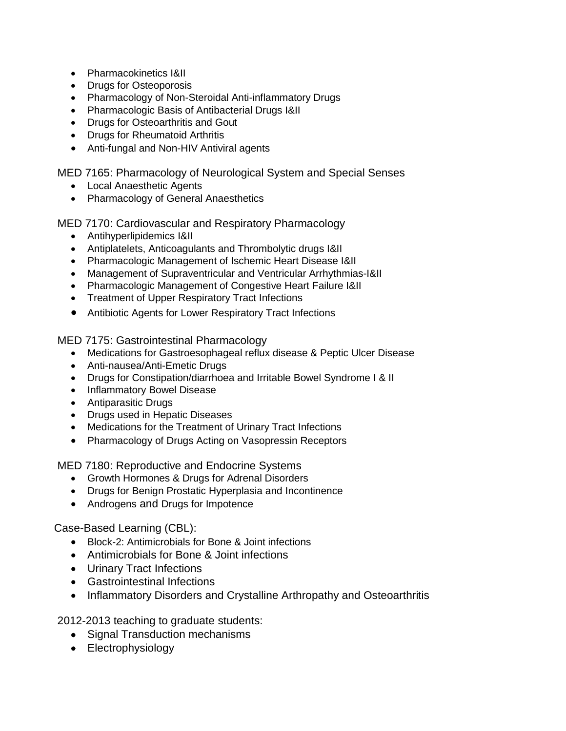- Pharmacokinetics I&II
- Drugs for Osteoporosis
- Pharmacology of Non-Steroidal Anti-inflammatory Drugs
- Pharmacologic Basis of Antibacterial Drugs I&II
- Drugs for Osteoarthritis and Gout
- Drugs for Rheumatoid Arthritis
- Anti-fungal and Non-HIV Antiviral agents

MED 7165: Pharmacology of Neurological System and Special Senses

- Local Anaesthetic Agents
- Pharmacology of General Anaesthetics

MED 7170: Cardiovascular and Respiratory Pharmacology

- Antihyperlipidemics I&II
- Antiplatelets, Anticoagulants and Thrombolytic drugs I&II
- Pharmacologic Management of Ischemic Heart Disease I&II
- Management of Supraventricular and Ventricular Arrhythmias-I&II
- Pharmacologic Management of Congestive Heart Failure I&II
- Treatment of Upper Respiratory Tract Infections
- Antibiotic Agents for Lower Respiratory Tract Infections

MED 7175: Gastrointestinal Pharmacology

- Medications for Gastroesophageal reflux disease & Peptic Ulcer Disease
- Anti-nausea/Anti-Emetic Drugs
- Drugs for Constipation/diarrhoea and Irritable Bowel Syndrome I & II
- Inflammatory Bowel Disease
- Antiparasitic Drugs
- Drugs used in Hepatic Diseases
- Medications for the Treatment of Urinary Tract Infections
- Pharmacology of Drugs Acting on Vasopressin Receptors

MED 7180: Reproductive and Endocrine Systems

- Growth Hormones & Drugs for Adrenal Disorders
- Drugs for Benign Prostatic Hyperplasia and Incontinence
- Androgens and Drugs for Impotence

Case-Based Learning (CBL):

- Block-2: Antimicrobials for Bone & Joint infections
- Antimicrobials for Bone & Joint infections
- Urinary Tract Infections
- Gastrointestinal Infections
- Inflammatory Disorders and Crystalline Arthropathy and Osteoarthritis

2012-2013 teaching to graduate students:

- Signal Transduction mechanisms
- Electrophysiology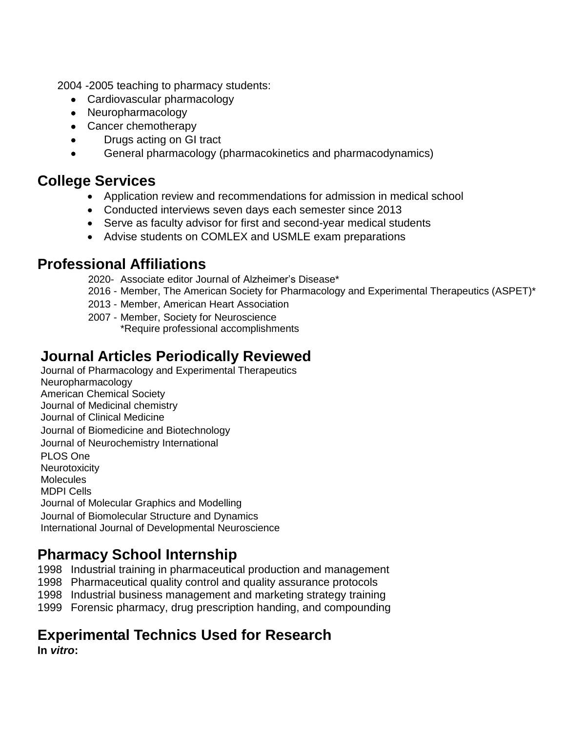2004 -2005 teaching to pharmacy students:

- Cardiovascular pharmacology
- Neuropharmacology
- Cancer chemotherapy
- Drugs acting on GI tract
- General pharmacology (pharmacokinetics and pharmacodynamics)

### **College Services**

- Application review and recommendations for admission in medical school
- Conducted interviews seven days each semester since 2013
- Serve as faculty advisor for first and second-year medical students
- Advise students on COMLEX and USMLE exam preparations

## **Professional Affiliations**

- 2020- Associate editor Journal of Alzheimer's Disease\*
- 2016 Member, The American Society for Pharmacology and Experimental Therapeutics (ASPET)\*
- 2013 Member, American Heart Association
- 2007 Member, Society for Neuroscience \*Require professional accomplishments

# **Journal Articles Periodically Reviewed**

Journal of Pharmacology and Experimental Therapeutics Neuropharmacology American Chemical Society Journal of Medicinal chemistry Journal of Clinical Medicine Journal of Biomedicine and Biotechnology Journal of Neurochemistry International PLOS One **Neurotoxicity Molecules** MDPI Cells Journal of Molecular Graphics and Modelling Journal of Biomolecular Structure and Dynamics International Journal of Developmental Neuroscience

# **Pharmacy School Internship**

1998 Industrial training in pharmaceutical production and management

1998 Pharmaceutical quality control and quality assurance protocols

1998 Industrial business management and marketing strategy training

1999 Forensic pharmacy, drug prescription handing, and compounding

# **Experimental Technics Used for Research**

**In** *vitro***:**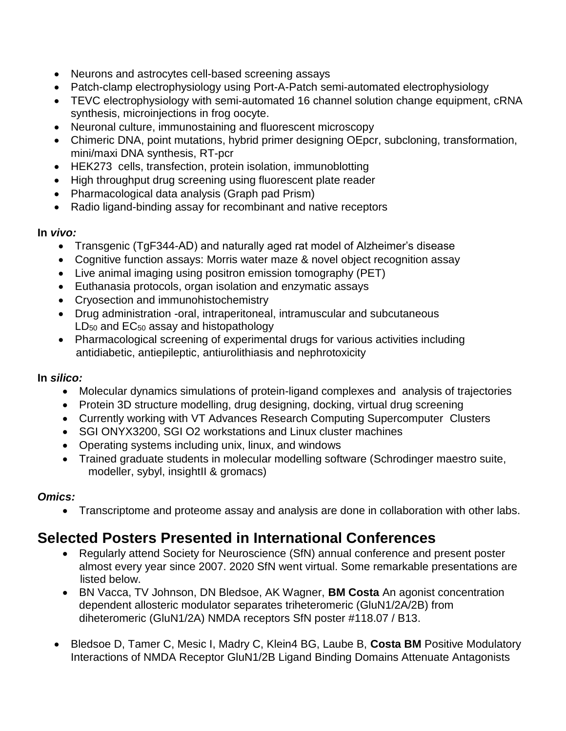- Neurons and astrocytes cell-based screening assays
- Patch-clamp electrophysiology using Port-A-Patch semi-automated electrophysiology
- TEVC electrophysiology with semi-automated 16 channel solution change equipment, cRNA synthesis, microinjections in frog oocyte.
- Neuronal culture, immunostaining and fluorescent microscopy
- Chimeric DNA, point mutations, hybrid primer designing OEpcr, subcloning, transformation, mini/maxi DNA synthesis, RT-pcr
- HEK273 cells, transfection, protein isolation, immunoblotting
- High throughput drug screening using fluorescent plate reader
- Pharmacological data analysis (Graph pad Prism)
- Radio ligand-binding assay for recombinant and native receptors

#### **In** *vivo:*

- Transgenic (TgF344-AD) and naturally aged rat model of Alzheimer's disease
- Cognitive function assays: Morris water maze & novel object recognition assay
- Live animal imaging using positron emission tomography (PET)
- Euthanasia protocols, organ isolation and enzymatic assays
- Cryosection and immunohistochemistry
- Drug administration -oral, intraperitoneal, intramuscular and subcutaneous  $LD_{50}$  and  $EC_{50}$  assay and histopathology
- Pharmacological screening of experimental drugs for various activities including antidiabetic, antiepileptic, antiurolithiasis and nephrotoxicity

#### **In** *silico:*

- Molecular dynamics simulations of protein-ligand complexes and analysis of trajectories
- Protein 3D structure modelling, drug designing, docking, virtual drug screening
- Currently working with VT Advances Research Computing Supercomputer Clusters
- SGI ONYX3200, SGI O2 workstations and Linux cluster machines
- Operating systems including unix, linux, and windows
- Trained graduate students in molecular modelling software (Schrodinger maestro suite, modeller, sybyl, insightII & gromacs)

#### *Omics:*

Transcriptome and proteome assay and analysis are done in collaboration with other labs.

# **Selected Posters Presented in International Conferences**

- Regularly attend Society for Neuroscience (SfN) annual conference and present poster almost every year since 2007. 2020 SfN went virtual. Some remarkable presentations are listed below.
- BN Vacca, TV Johnson, DN Bledsoe, AK Wagner, **BM Costa** An agonist concentration dependent allosteric modulator separates triheteromeric (GluN1/2A/2B) from diheteromeric (GluN1/2A) NMDA receptors SfN poster #118.07 / B13.
- Bledsoe D, Tamer C, Mesic I, Madry C, Klein4 BG, Laube B, **Costa BM** Positive Modulatory Interactions of NMDA Receptor GluN1/2B Ligand Binding Domains Attenuate Antagonists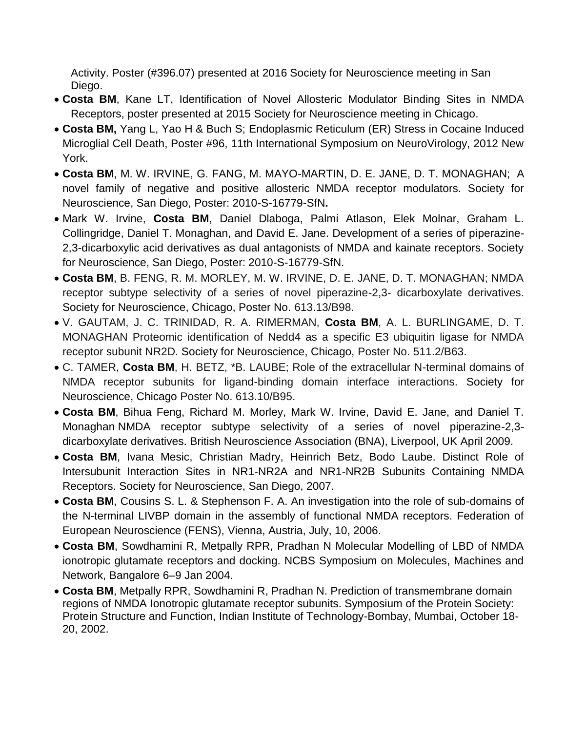Activity. Poster (#396.07) presented at 2016 Society for Neuroscience meeting in San Diego.

- **Costa BM**, Kane LT, Identification of Novel Allosteric Modulator Binding Sites in NMDA Receptors, poster presented at 2015 Society for Neuroscience meeting in Chicago.
- **Costa BM,** Yang L, Yao H & Buch S; Endoplasmic Reticulum (ER) Stress in Cocaine Induced Microglial Cell Death, Poster #96, 11th International Symposium on NeuroVirology, 2012 New York.
- **Costa BM**, M. W. IRVINE, G. FANG, M. MAYO-MARTIN, D. E. JANE, D. T. MONAGHAN; A novel family of negative and positive allosteric NMDA receptor modulators. Society for Neuroscience, San Diego, Poster: 2010-S-16779-SfN**.**
- Mark W. Irvine, **Costa BM**, Daniel Dlaboga, Palmi Atlason, Elek Molnar, Graham L. Collingridge, Daniel T. Monaghan, and David E. Jane. Development of a series of piperazine-2,3-dicarboxylic acid derivatives as dual antagonists of NMDA and kainate receptors. Society for Neuroscience, San Diego, Poster: 2010-S-16779-SfN.
- **Costa BM**, B. FENG, R. M. MORLEY, M. W. IRVINE, D. E. JANE, D. T. MONAGHAN; NMDA receptor subtype selectivity of a series of novel piperazine-2,3- dicarboxylate derivatives. Society for Neuroscience, Chicago, Poster No. 613.13/B98.
- V. GAUTAM, J. C. TRINIDAD, R. A. RIMERMAN, **Costa BM**, A. L. BURLINGAME, D. T. MONAGHAN Proteomic identification of Nedd4 as a specific E3 ubiquitin ligase for NMDA receptor subunit NR2D. Society for Neuroscience, Chicago, Poster No. 511.2/B63.
- C. TAMER, **Costa BM**, H. BETZ, \*B. LAUBE; Role of the extracellular N-terminal domains of NMDA receptor subunits for ligand-binding domain interface interactions. Society for Neuroscience, Chicago Poster No. 613.10/B95.
- **Costa BM**, Bihua Feng, Richard M. Morley, Mark W. Irvine, David E. Jane, and Daniel T. Monaghan NMDA receptor subtype selectivity of a series of novel piperazine-2,3 dicarboxylate derivatives. British Neuroscience Association (BNA), Liverpool, UK April 2009.
- **Costa BM**, Ivana Mesic, Christian Madry, Heinrich Betz, Bodo Laube. Distinct Role of Intersubunit Interaction Sites in NR1-NR2A and NR1-NR2B Subunits Containing NMDA Receptors. Society for Neuroscience, San Diego, 2007.
- **Costa BM**, Cousins S. L. & Stephenson F. A. An investigation into the role of sub-domains of the N-terminal LIVBP domain in the assembly of functional NMDA receptors. Federation of European Neuroscience (FENS), Vienna, Austria, July, 10, 2006.
- **Costa BM**, Sowdhamini R, Metpally RPR, Pradhan N Molecular Modelling of LBD of NMDA ionotropic glutamate receptors and docking. NCBS Symposium on Molecules, Machines and Network, Bangalore 6–9 Jan 2004.
- **Costa BM**, Metpally RPR, Sowdhamini R, Pradhan N. Prediction of transmembrane domain regions of NMDA Ionotropic glutamate receptor subunits. Symposium of the Protein Society: Protein Structure and Function, Indian Institute of Technology-Bombay, Mumbai, October 18- 20, 2002.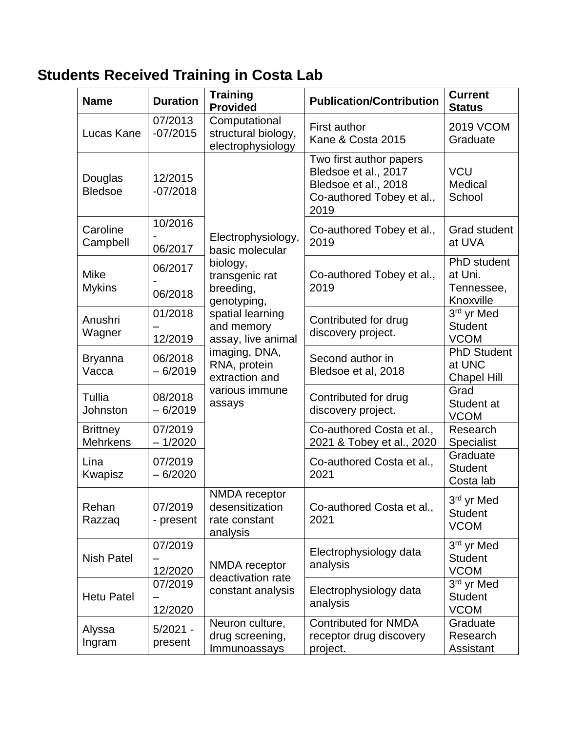# **Students Received Training in Costa Lab**

| <b>Name</b>                        | <b>Duration</b>       | <b>Training</b><br><b>Provided</b>                                                                                                                                                                                                     | <b>Publication/Contribution</b>                                                                              | <b>Current</b><br><b>Status</b>                    |
|------------------------------------|-----------------------|----------------------------------------------------------------------------------------------------------------------------------------------------------------------------------------------------------------------------------------|--------------------------------------------------------------------------------------------------------------|----------------------------------------------------|
| Lucas Kane                         | 07/2013<br>$-07/2015$ | Computational<br>structural biology,<br>electrophysiology                                                                                                                                                                              | <b>First author</b><br>Kane & Costa 2015                                                                     | <b>2019 VCOM</b><br>Graduate                       |
| Douglas<br><b>Bledsoe</b>          | 12/2015<br>$-07/2018$ | Electrophysiology,<br>basic molecular<br>biology,<br>transgenic rat<br>breeding,<br>genotyping,<br>spatial learning<br>and memory<br>assay, live animal<br>imaging, DNA,<br>RNA, protein<br>extraction and<br>various immune<br>assays | Two first author papers<br>Bledsoe et al., 2017<br>Bledsoe et al., 2018<br>Co-authored Tobey et al.,<br>2019 | <b>VCU</b><br>Medical<br>School                    |
| Caroline<br>Campbell               | 10/2016<br>06/2017    |                                                                                                                                                                                                                                        | Co-authored Tobey et al.,<br>2019                                                                            | <b>Grad student</b><br>at UVA                      |
| <b>Mike</b><br><b>Mykins</b>       | 06/2017<br>06/2018    |                                                                                                                                                                                                                                        | Co-authored Tobey et al.,<br>2019                                                                            | PhD student<br>at Uni.<br>Tennessee,<br>Knoxville  |
| Anushri<br>Wagner                  | 01/2018<br>12/2019    |                                                                                                                                                                                                                                        | Contributed for drug<br>discovery project.                                                                   | 3rd yr Med<br><b>Student</b><br><b>VCOM</b>        |
| <b>Bryanna</b><br>Vacca            | 06/2018<br>$-6/2019$  |                                                                                                                                                                                                                                        | Second author in<br>Bledsoe et al, 2018                                                                      | <b>PhD Student</b><br>at UNC<br><b>Chapel Hill</b> |
| Tullia<br>Johnston                 | 08/2018<br>$-6/2019$  |                                                                                                                                                                                                                                        | Contributed for drug<br>discovery project.                                                                   | Grad<br>Student at<br><b>VCOM</b>                  |
| <b>Brittney</b><br><b>Mehrkens</b> | 07/2019<br>$-1/2020$  |                                                                                                                                                                                                                                        | Co-authored Costa et al.,<br>2021 & Tobey et al., 2020                                                       | Research<br><b>Specialist</b>                      |
| Lina<br>Kwapisz                    | 07/2019<br>$-6/2020$  |                                                                                                                                                                                                                                        | Co-authored Costa et al.,<br>2021                                                                            | Graduate<br><b>Student</b><br>Costa lab            |
| Rehan<br>Razzaq                    | 07/2019<br>- present  | NMDA receptor<br>desensitization<br>rate constant<br>analysis                                                                                                                                                                          | Co-authored Costa et al.,<br>2021                                                                            | 3rd yr Med<br><b>Student</b><br><b>VCOM</b>        |
| <b>Nish Patel</b>                  | 07/2019<br>12/2020    | NMDA receptor<br>deactivation rate                                                                                                                                                                                                     | Electrophysiology data<br>analysis                                                                           | 3rd yr Med<br><b>Student</b><br><b>VCOM</b>        |
| <b>Hetu Patel</b>                  | 07/2019<br>12/2020    | constant analysis                                                                                                                                                                                                                      | Electrophysiology data<br>analysis                                                                           | 3rd yr Med<br><b>Student</b><br><b>VCOM</b>        |
| Alyssa<br>Ingram                   | $5/2021 -$<br>present | Neuron culture,<br>drug screening,<br>Immunoassays                                                                                                                                                                                     | <b>Contributed for NMDA</b><br>receptor drug discovery<br>project.                                           | Graduate<br>Research<br>Assistant                  |